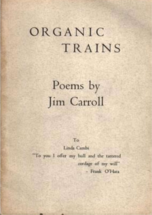# ORGANIC TRAINS

Poems by Jim Carroll

To

Linda Cambi

"To you I offer my hull and the tattered cordage of my will" - Frank O'Hara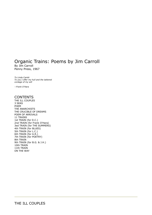## Organic Trains: Poems by Jim Carroll By Jim Carroll

Penny Press, 1967

*To Linda Cambi To you I offer my hull and the tattered cordage of my will*

*--Frank O'Hara*

#### **CONTENTS**

THE ILL COUPLES 3 SEAS POEM THE ANARCHISTS THE CRUCIBLE OF DREAMS POEM OF ARRIVALS 11 TRAINS 1st TRAIN (for D.C.) 2nd TRAIN (for Frank O'Hara) 3ed TRAIN (for THE SUMMERS) 4th TRAIN (for BLUES) 5th TRAIN (for L.C.) 6th TRAIN (for A.R.) 7th TRAIN (for POETRY) 8th TRAIN 9th TRAIN (for B.G. & J.H.) 10th TRAIN 11th TRAIN ON THE WAY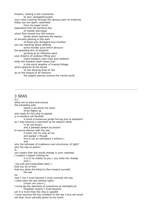Dreams, tossing in the turbulence of your variegated pupils your voice crawling through the igneous pain of simplicity today you are apart, seperated from my eager touch seperated from the perdium flux of marble staircases which flow toward tiny 5th avenue stores which welcome the beauty of amulets glowing in the eyes of those who disregard true emotion you are reaching about seeking some wonder juice which devours the gnawling skin of serpents growing at an infamous pace your dreams of cowboys lifting your moist freedom unto royal pink stallions while the freedom itself closes over in the quick laughter of tropical foliage which glisterns at the sound of one denying drop of rain as on the tongue of all heavens the angelic patrons torture the mortal skulls

#### 3 SEAS

 $[1.1]$ allow me to stare and arouse the trembling sofa where I am alone the room three flights up and ready for this ship to appear is it woodern yet flexible? is there a humerous pirate forcing one to abandon? as I may become a merchant to far eastern lands (I do not know) and a jeweled pedant as anchor to secure allience with the sea. O when will my ship arrive and appear ( though this is not an ultimatum I enforce ) and why the whimper of irradiance over structures, of light? why the sea so green? II. you expect that one would change in your vastness I suspect I expect nothing for it is of no matter to you / you need not change only I. ( be well and masturbate daily ) that you be of love that you allow the blood to flow toward yourself, the sea III. may I rise I must become I must overlook the sea I have seen the sea without lights (moon nor colors ) I must lap the darkness of turbulence at midnights of forgotten oceans I must become yet it is more than the ship is capable I must become the sky constant to the sea I love yet avoid yet hear churn partially green at my touch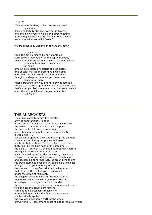#### POEM

It's a wonderful thing to be constantly cursed by evening it's a wonderfully strange evening. it deafens one and allows you to walk along girders eating orange objects hearing nothing but cryptic voices from hotel windows which "exist".

we are essentially walking on toward the other

darknesses,

while the air is grasped by our phantoms. such powers they hold over the septic humidity! they command the air as you command my feelings.

both simply wither in one's hand for hours

until at last restored nostalgic and ultimately free of total mutilation becoming bluish pink and silent, as of a rare disposition, and even though you despise the taste you never stop begging for more.

whose breathing anyway I'm not denying fate it's simply passing through me like a phallic penetration. that's what you learn as a phantom you never accept one's fledging opinion of you just look at her,

and "flick".

#### THE ANARCHISTS

They have come to praise the dictator. arriving spontaniously in pairs of red and black wagons, a sun tilted over France, the radio . . . a vulture had scaled the pond. the current bent toward a sulfer mine . . . seperate events, though reoccuring previously. it was a girl . . . conceived to approve their undertaking. the animals crawled about licking her porcelain fingers she hesitated, on burden's pine cliffs . . . her vains fluttering like the blue flags of the stadium . . . the gulls . . . coffee . . . she had decided days before to beguile the ruddy proletariat faces once they had perfected the manifesto, they would complete the warlog adding legs . . . though short and possessing abnormal features around the thighs the trees stumbled over the unspeakable clumsiness of night . . . tropical opening of stars . . . the toucan . . . breakfast. she had delivered a son that night on the exit steps. he espcaped under the strain of foresight. the peoples became alarmed. without manna, they observed a carnival of gloss over the hill an energy . . . though not able to nourish . . . the gypsy . . . . . . . . this was her apparent scheme to eliminate the benevolent factors, stimulating helplessness, meanwhile accumulating arms for the fleet . . . innocence. she had finally spoken. the day was obviously a forth of the week. brown wind . . . parchment exhaling about the countryside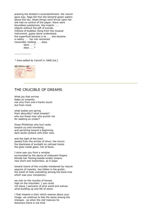praising the dictator's accomplishment. the record gave way. flags fell fron the temprid green waters above the sky. these things were thrust upon her. she had no control of the paper. there were boundless substances, like insects . . . objects without the gift of suicide. millions of bubbles rising from the musical instrument. gypsy alone understood. the superficial became a lie . . . she became a reality . . . her son remained inexorably restless . . . days

*days . . .\* days . . .\**

----------------

*\* lines added by Carroll in 1968 [ed.]*



## THE CRUCIBLE OF DREAMS

What joy that arrives fades so instantly not only from one's frantic touch but from mind.

what bodies are spring from absurdity? what breasts? who are these men who punish me for walking on cinder?

those Philistines who hurl rocks toward us until trembling and perishing toward a beginning. dark skulls content with their race.

and the light of the town pealed from the arches of silver, the horror. the blackness of sunlight on railroad tracks the glow inside glass. not of faces.

I once saw you from a window surrounded by the dance of chatoyant fingers blonde hair flowing beside lunatic oceans. new short and motionless. as it leaps

toward rooms of the crucible moistened by mauve sequins of insanity. two bibles in the grotto . the smell of heat undulating among the bone tree which was your companion.

we met on the mouths of horses high on the mountain. ( you could not leave ) seclusion of pine wood and wolves. wind building up and life of stone

( that imparts a choir which weaves about your image. we continue to feel the same among the changes . as when the claf matures he discovers there is not time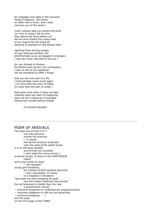for nostalgia once deep in the honeyed fields of obliquity. she allows an affair with a horse. and I shall convince you of the same.)

must I always lead you toward the pond (or river or ocean) did we dive from above the fence before us? did we swim toward the mossy beat of our organs like the shark fin seeming so peaceful on the bloody tides

lightning froze among jungles of such ethereal painters. the sheriff arrests us as we begged to strangers ( and you never returned to the city )

for you refused to disobey the fathers who govern your conception. I was so still as you appeared yet we wandered so often I forgot

that you are only part of a life I shall perhaps never touch again ( no more than the color of thighs no more than the pain of cinder )

that pains most when it does not fade instantly does not reach its beginning does not die in blood,as it invariable haunts the crucible behind shields

of constant daylight.

#### POEM OF ARRIVALS

The pope has arrived in N.Y. one may perceive sounds not previous -- or words like devine scripture projected unto the walls of the death house. it is an ash grey tuesday and arrivals are inevitible ( next week the circus arrives ) a woman jumps 15 floors in the MARTINIQUE naked and a cop rushes to cover --"ad nauseam" young girls breathing the incense of their spiritual depravity -- like a benidiction in France or a hospital in Chinatown "last week we went shopping for guilt, now the master salesman has arrived" the old testament is better than the new a grandmother shouts: -- everyone disagrees on contemporary progressiveness. -- everyone disagrees on self-joy and generality -- everyone disagrees . . .! and the pope on the third page of the TIMES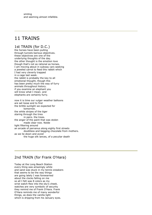## 11 TRAINS

## 1st TRAIN (for D.C.)

the horses have been pulling through tunnels barious objectives. these objectives are one of the underlying thoughts of the day. the other thought is the emotion love though that's not as rational as horses. I am moving about in subway cars seeking a jeweled carrot to feed this rabbit which I had very cleverly trapped in a cage last week. the rabbit is probably the key to all emotional thought, though this has been pretty much the way of furry animals throughout history. if you examine an elephant you will know what I mean. and elephants are certainly furry.

now it is time our vulger weather balloons are set loose and to find the brittle sunlight we expected for tomorrow. the white stripes of the tiger staring through the tires in pairs. the trees. the anger of the paint that was stolen made clear now. Nolde light filtering around an arcade of parvanus along eighty first streets doubtless and begging chocolate from mothers. as we lie down and avoid the huge silk lances, of a peculiar death

## 2nd TRAIN (for Frank O'Hara)

Today at the Long Beach Station every thing was amazingly white and sand was stuck in my tennis sneakers that seems to be the way things are going lately I was forewarned about the clocks falling on me so all I felt was 8 colors as my wrist watch flew into the sky's cheek. watches are very symbolic of security they remind me of Frank O'Hara. Frank O'Hara reminds me of many wonderful things, as does the vanilla light which is dripping from his January eyes.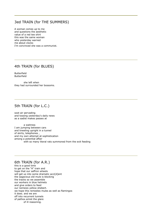## 3ed TRAIN (for THE SUMMERS)

A woman comes up to me and questions the aesthetic value of a red tee shirt this was the same woman who yesterday warned me about clocks I'm convinced she was a communist.

## 4th TRAIN (for BLUES)

Butterfield Butterfield

she left when they had surrounded her bossoms.

## 5th TRAIN (for L.C.)

soot air pervading and tossing yesterday's daily news as a sadist makes passes at

a waitress I am jumping between cars and kneeling upright in a tunnel of skirts, telephones , and my own attempt at sophistication among a potential affair with so many literal rats summoned from the exit feeding

## 6th TRAIN (for A.R.)

this is a good time to get on the "A" train and hope that our saffron wheels will get us into some dramatic acci[d]ent the sagacious old mule is blocking the tracks so we assemble our workers in blue helmets and give orders to feed our nemesis yellow shebert. we hope this remedies mules as well as flamingos it does. and we are off into recurrent tunnels of pathos amist the glare of ill reasoning.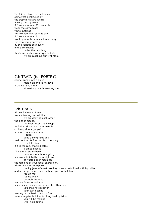I'm fairly relaxed in the last car somewhat destracted by the tropical culture which is very much present. if I were a woman I'd probably wear the same black white outfit as this woman dressed in green. if I were a woman I would probably be a lesbian anyway. I'm also very impressed by the various pets every one is concealing under their clothing this is certainly a very organic train we are reaching our first stop.

#### 7th TRAIN (for POETRY)

carmel candy into a glove melt it on and fit my love if the world is T.N.T. at least my you is wearing me

#### 8th TRAIN

Ah! such sissors of wind we are tearing our validity we are denying each other the gift of moods. the basin rises and swoops its filthy calcium onto the metallic embassy doors ( oops! ) no more impending data ( dada) dede a song rises and realizes that its function is to be sung -- not to sing if it is the rock that indicates a timed silence I'll never sustain these passive metaphors again , nor crumble into the long highways of waste paper machines the remains of your facial expression. winter is about to expose the icy jaws of meat howling down streets lined with ivy villas and a cheaper wine than the hand you are holding. "guide me" "guide who? through the wind? lead on fellow Americans. neck ties are only a loss of one breath a day you shall not discover your own decline veering in the basic mesh of fire. secure vegetable juices for long healthy trips you will be making I will help define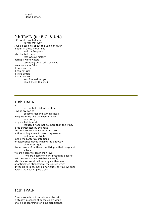the path ( don't bother)

#### 9th TRAIN (for B.G. & J.H.)

( if I really wanted you to feel that way I would tell only about the vains of silver hidden in these mountains and the Iroquois who hunted there that was all history perhaps white waters cascading unto rocks below it because water falls it does not rise it can not rise it is so simple it is a process yes, I would tell you about these things. )

#### 10th TRAIN

no! we are both sick of zoo fantasy I want my lion to become real and turn his head away from me like the cheetah does -- so sexy let your hair imaprt, though it need not be more than the wind. air is persecuted by the heat. this heat remains in subway last cars until morning when it turns to spearmint and innocent fright. moan the hysterical intuitions! of established doves winging the pathway of innocent gold like an army of mothers mobilizing in their pregnant selves, we are nearer to death than love ( we are nearer to night breathing deserts ) yet the seasons are watched carefully who is sure we will all pass by another week of anticipated stimulation? the source which drives us to light, moving nervously as your whisper across the floor of pine trees.

## 11th TRAIN

Frantic sounds of trumpets and the rain is steady in sheets of dense colors while one is not searching for blind significence,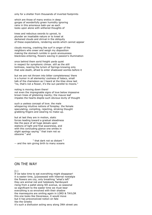only for a shelter from thousands of inverted footprints

which are those of many erotics in deep gorges of wonderfully green humidity ignoring rains in this amoreous babi-yar as each looks upon alone with withered thoughts of

trees and nebulous swords to uproot, to plunder an insatiable nature or to kneel at darkened clouds and shrival in the obliquity of these expectations, rendering words which cannot appear

clouds moving, crashing like surf in anger of the neighbors who sneer and weigh my disposition making the stomach rumble in quick anxiousness blackness entering, flowers waving in passion's illumination

once behind them sorid freight yards quiet in respect for symphonic climax. still as the still lonliness, nearing the lyrism of Springs knowing only that sole death, afraid to enter shadowed wombs before it

but we are not thrown into bitter completeness/ there is a humor in all elements/ coolness of lialacs, small talk of the chameleon as I heard at the Klee show last "no, that's not a flower, it's the sun parellel to moons."

noting is moving down there! not even the impregnable signs of love below impassive brown trees of glistening inanity; the mauve leaf impales the hearts dispite such obvious levity of thought

such a useless concept of love. the male whispering intuitive notions of foreplay. the female speculating, compiling, rejecting, stroking thought grabbing fingers and wearing no make-up.

but at last they are in motion, static forces leading toward a gradual steadiness like the pace of all huge deisals upon stations of light and final awareness, and with this concluding glance one smiles in slight apology saying " that train not so obscene " and

" that dark not so distant " -- and the rain giving birth to many oceans

#### ON THE WAY

 $[1.]$ 

If we take time to eat everything might disappear! it is easter time, [p]ossessed with hibernal nostalgia the flowers are coy, only breathing "what's left" they are animal red and helplessly flamboyant rising from a pallet along 5th avenue, so seasonal so significant to the easter time we must bear everything is so envolved with their shadow the mannequins are smiling again in LORD & TAYLOR this one looks like Devereaux, it would move but it has preconceived notion on fate like the Greeks it's such a disillusion acting sexy along 39th street yes